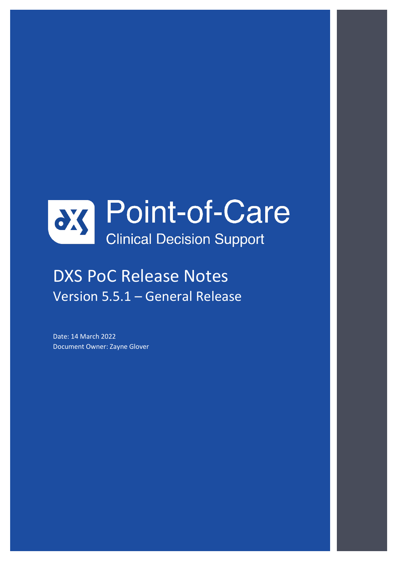

# DXS PoC Release Notes Version 5.5.1 – General Release

Date: 14 March 2022 Document Owner: Zayne Glover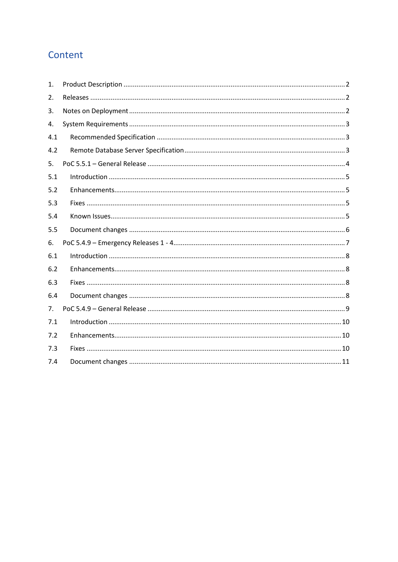# Content

| 1.  |  |
|-----|--|
| 2.  |  |
| 3.  |  |
| 4.  |  |
| 4.1 |  |
| 4.2 |  |
| 5.  |  |
| 5.1 |  |
| 5.2 |  |
| 5.3 |  |
| 5.4 |  |
| 5.5 |  |
| 6.  |  |
| 6.1 |  |
| 6.2 |  |
| 6.3 |  |
| 6.4 |  |
| 7.  |  |
| 7.1 |  |
| 7.2 |  |
| 7.3 |  |
| 7.4 |  |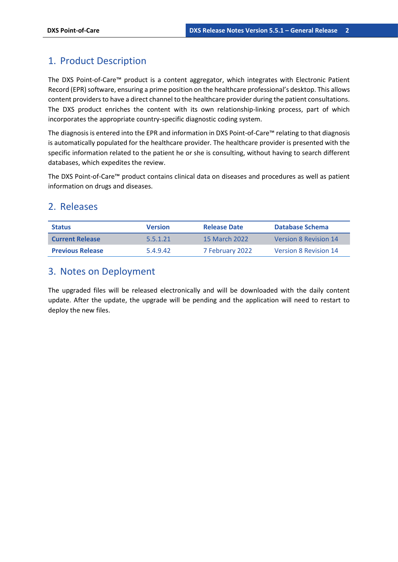### <span id="page-2-0"></span>1. Product Description

The DXS Point-of-Care™ product is a content aggregator, which integrates with Electronic Patient Record (EPR) software, ensuring a prime position on the healthcare professional's desktop. This allows content providers to have a direct channel to the healthcare provider during the patient consultations. The DXS product enriches the content with its own relationship-linking process, part of which incorporates the appropriate country-specific diagnostic coding system.

The diagnosis is entered into the EPR and information in DXS Point-of-Care™ relating to that diagnosis is automatically populated for the healthcare provider. The healthcare provider is presented with the specific information related to the patient he or she is consulting, without having to search different databases, which expedites the review.

The DXS Point-of-Care™ product contains clinical data on diseases and procedures as well as patient information on drugs and diseases.

### <span id="page-2-1"></span>2. Releases

| <b>Status</b>           | <b>Version</b> | <b>Release Date</b> | Database Schema              |
|-------------------------|----------------|---------------------|------------------------------|
| <b>Current Release</b>  | 5.5.1.21       | 15 March 2022       | <b>Version 8 Revision 14</b> |
| <b>Previous Release</b> | 54942          | 7 February 2022     | <b>Version 8 Revision 14</b> |

### <span id="page-2-2"></span>3. Notes on Deployment

The upgraded files will be released electronically and will be downloaded with the daily content update. After the update, the upgrade will be pending and the application will need to restart to deploy the new files.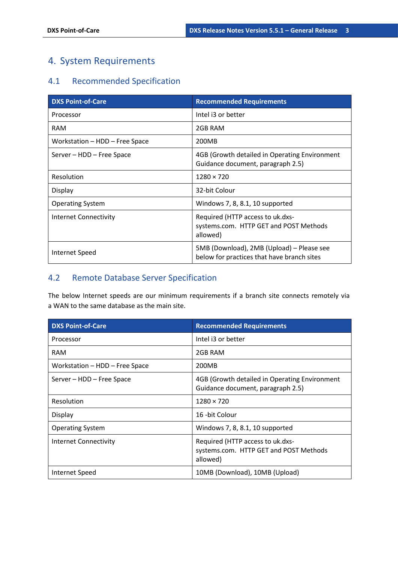## <span id="page-3-0"></span>4. System Requirements

### <span id="page-3-1"></span>4.1 Recommended Specification

| <b>DXS Point-of-Care</b>       | <b>Recommended Requirements</b>                                                         |
|--------------------------------|-----------------------------------------------------------------------------------------|
| Processor                      | Intel i3 or better                                                                      |
| <b>RAM</b>                     | 2GB RAM                                                                                 |
| Workstation - HDD - Free Space | 200MB                                                                                   |
| Server - HDD - Free Space      | 4GB (Growth detailed in Operating Environment<br>Guidance document, paragraph 2.5)      |
| Resolution                     | $1280 \times 720$                                                                       |
| Display                        | 32-bit Colour                                                                           |
| <b>Operating System</b>        | Windows 7, 8, 8.1, 10 supported                                                         |
| <b>Internet Connectivity</b>   | Required (HTTP access to uk.dxs-<br>systems.com. HTTP GET and POST Methods<br>allowed)  |
| <b>Internet Speed</b>          | 5MB (Download), 2MB (Upload) - Please see<br>below for practices that have branch sites |

### <span id="page-3-2"></span>4.2 Remote Database Server Specification

The below Internet speeds are our minimum requirements if a branch site connects remotely via a WAN to the same database as the main site.

| <b>DXS Point-of-Care</b>       | <b>Recommended Requirements</b>                                                        |
|--------------------------------|----------------------------------------------------------------------------------------|
| Processor                      | Intel i3 or better                                                                     |
| <b>RAM</b>                     | 2GB RAM                                                                                |
| Workstation – HDD – Free Space | 200MB                                                                                  |
| Server - HDD - Free Space      | 4GB (Growth detailed in Operating Environment<br>Guidance document, paragraph 2.5)     |
| Resolution                     | $1280 \times 720$                                                                      |
| Display                        | 16 - bit Colour                                                                        |
| <b>Operating System</b>        | Windows 7, 8, 8.1, 10 supported                                                        |
| Internet Connectivity          | Required (HTTP access to uk.dxs-<br>systems.com. HTTP GET and POST Methods<br>allowed) |
| Internet Speed                 | 10MB (Download), 10MB (Upload)                                                         |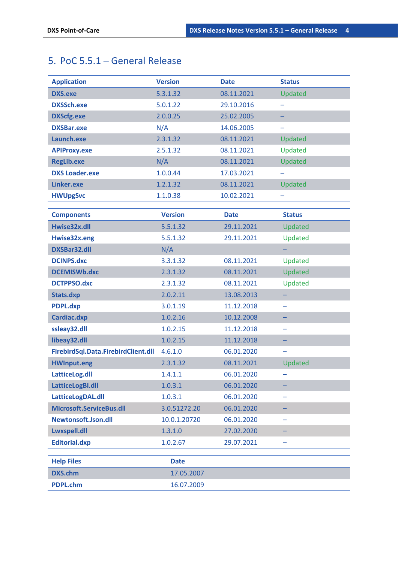# <span id="page-4-0"></span>5. PoC 5.5.1 – General Release

| <b>Application</b>                  | <b>Version</b> | <b>Date</b> | <b>Status</b> |
|-------------------------------------|----------------|-------------|---------------|
| <b>DXS.exe</b>                      | 5.3.1.32       | 08.11.2021  | Updated       |
| <b>DXSSch.exe</b>                   | 5.0.1.22       | 29.10.2016  |               |
| <b>DXScfg.exe</b>                   | 2.0.0.25       | 25.02.2005  |               |
| <b>DXSBar.exe</b>                   | N/A            | 14.06.2005  |               |
| Launch.exe                          | 2.3.1.32       | 08.11.2021  | Updated       |
| <b>APIProxy.exe</b>                 | 2.5.1.32       | 08.11.2021  | Updated       |
| <b>RegLib.exe</b>                   | N/A            | 08.11.2021  | Updated       |
| <b>DXS Loader.exe</b>               | 1.0.0.44       | 17.03.2021  |               |
| Linker.exe                          | 1.2.1.32       | 08.11.2021  | Updated       |
| <b>HWUpgSvc</b>                     | 1.1.0.38       | 10.02.2021  |               |
|                                     |                |             |               |
| <b>Components</b>                   | <b>Version</b> | <b>Date</b> | <b>Status</b> |
| Hwise32x.dll                        | 5.5.1.32       | 29.11.2021  | Updated       |
| Hwise32x.eng                        | 5.5.1.32       | 29.11.2021  | Updated       |
| DXSBar32.dll                        | N/A            |             |               |
| <b>DCINPS.dxc</b>                   | 3.3.1.32       | 08.11.2021  | Updated       |
| <b>DCEMISWb.dxc</b>                 | 2.3.1.32       | 08.11.2021  | Updated       |
| <b>DCTPPSO.dxc</b>                  | 2.3.1.32       | 08.11.2021  | Updated       |
| Stats.dxp                           | 2.0.2.11       | 13.08.2013  |               |
| <b>PDPL.dxp</b>                     | 3.0.1.19       | 11.12.2018  | -             |
| Cardiac.dxp                         | 1.0.2.16       | 10.12.2008  |               |
| ssleay32.dll                        | 1.0.2.15       | 11.12.2018  | -             |
| libeay32.dll                        | 1.0.2.15       | 11.12.2018  |               |
| FirebirdSql.Data.FirebirdClient.dll | 4.6.1.0        | 06.01.2020  |               |
| <b>HWInput.eng</b>                  | 2.3.1.32       | 08.11.2021  | Updated       |
| LatticeLog.dll                      | 1.4.1.1        | 06.01.2020  |               |
| LatticeLogBI.dll                    | 1.0.3.1        | 06.01.2020  |               |
| LatticeLogDAL.dll                   | 1.0.3.1        | 06.01.2020  |               |
| Microsoft.ServiceBus.dll            | 3.0.51272.20   | 06.01.2020  |               |
| Newtonsoft.Json.dll                 | 10.0.1.20720   | 06.01.2020  |               |
| Lwxspell.dll                        | 1.3.1.0        | 27.02.2020  |               |
| <b>Editorial.dxp</b>                | 1.0.2.67       | 29.07.2021  |               |
| <b>Help Files</b>                   | <b>Date</b>    |             |               |
| <b>DXS.chm</b>                      | 17.05.2007     |             |               |
|                                     |                |             |               |
| <b>PDPL.chm</b>                     | 16.07.2009     |             |               |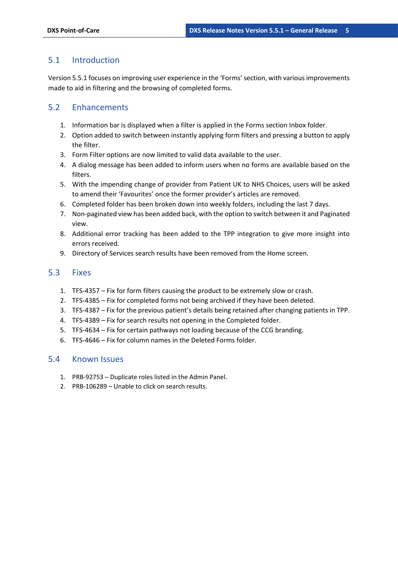### <span id="page-5-0"></span>5.1 Introduction

Version 5.5.1 focuses on improving user experience in the 'Forms' section, with various improvements made to aid in filtering and the browsing of completed forms.

### <span id="page-5-1"></span>5.2 Enhancements

- 1. Information bar is displayed when a filter is applied in the Forms section Inbox folder.
- 2. Option added to switch between instantly applying form filters and pressing a button to apply the filter.
- 3. Form Filter options are now limited to valid data available to the user.
- 4. A dialog message has been added to inform users when no forms are available based on the filters.
- 5. With the impending change of provider from Patient UK to NHS Choices, users will be asked to amend their 'Favourites' once the former provider's articles are removed.
- 6. Completed folder has been broken down into weekly folders, including the last 7 days.
- 7. Non-paginated view has been added back, with the option to switch between it and Paginated view.
- 8. Additional error tracking has been added to the TPP integration to give more insight into errors received.
- 9. Directory of Services search results have been removed from the Home screen.

#### <span id="page-5-2"></span>5.3 Fixes

- 1. TFS-4357 Fix for form filters causing the product to be extremely slow or crash.
- 2. TFS-4385 Fix for completed forms not being archived if they have been deleted.
- 3. TFS-4387 Fix for the previous patient's details being retained after changing patients in TPP.
- 4. TFS-4389 Fix for search results not opening in the Completed folder.
- 5. TFS-4634 Fix for certain pathways not loading because of the CCG branding.
- 6. TFS-4646 Fix for column names in the Deleted Forms folder.

#### <span id="page-5-3"></span>5.4 Known Issues

- 1. PRB-92753 Duplicate roles listed in the Admin Panel.
- 2. PRB-106289 Unable to click on search results.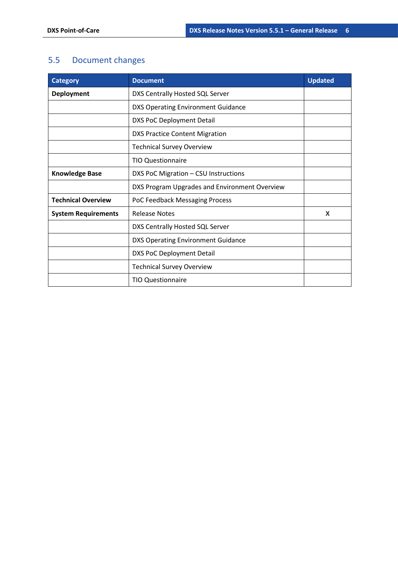# <span id="page-6-0"></span>5.5 Document changes

| <b>Category</b>            | <b>Document</b>                               | <b>Updated</b> |
|----------------------------|-----------------------------------------------|----------------|
| Deployment                 | DXS Centrally Hosted SQL Server               |                |
|                            | <b>DXS Operating Environment Guidance</b>     |                |
|                            | <b>DXS PoC Deployment Detail</b>              |                |
|                            | <b>DXS Practice Content Migration</b>         |                |
|                            | <b>Technical Survey Overview</b>              |                |
|                            | <b>TIO Questionnaire</b>                      |                |
| <b>Knowledge Base</b>      | DXS PoC Migration - CSU Instructions          |                |
|                            | DXS Program Upgrades and Environment Overview |                |
| <b>Technical Overview</b>  | PoC Feedback Messaging Process                |                |
| <b>System Requirements</b> | <b>Release Notes</b>                          | X              |
|                            | DXS Centrally Hosted SQL Server               |                |
|                            | <b>DXS Operating Environment Guidance</b>     |                |
|                            | <b>DXS PoC Deployment Detail</b>              |                |
|                            | <b>Technical Survey Overview</b>              |                |
|                            | <b>TIO Questionnaire</b>                      |                |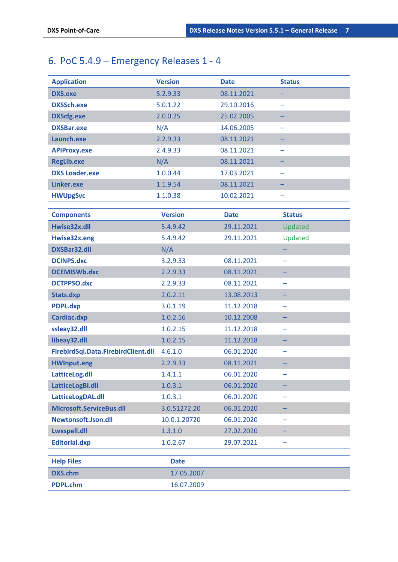# <span id="page-7-0"></span>6. PoC 5.4.9 – Emergency Releases 1 - 4

| <b>Application</b>                  | <b>Version</b> | <b>Date</b> | <b>Status</b> |
|-------------------------------------|----------------|-------------|---------------|
| <b>DXS.exe</b>                      | 5.2.9.33       | 08.11.2021  |               |
| <b>DXSSch.exe</b>                   | 5.0.1.22       | 29.10.2016  |               |
| <b>DXScfg.exe</b>                   | 2.0.0.25       | 25.02.2005  | -             |
| <b>DXSBar.exe</b>                   | N/A            | 14.06.2005  |               |
| Launch.exe                          | 2.2.9.33       | 08.11.2021  |               |
| <b>APIProxy.exe</b>                 | 2.4.9.33       | 08.11.2021  |               |
| <b>RegLib.exe</b>                   | N/A            | 08.11.2021  |               |
| <b>DXS Loader.exe</b>               | 1.0.0.44       | 17.03.2021  |               |
| Linker.exe                          | 1.1.9.54       | 08.11.2021  |               |
| <b>HWUpgSvc</b>                     | 1.1.0.38       | 10.02.2021  |               |
|                                     |                |             |               |
| <b>Components</b>                   | <b>Version</b> | <b>Date</b> | <b>Status</b> |
| Hwise32x.dll                        | 5.4.9.42       | 29.11.2021  | Updated       |
| Hwise32x.eng                        | 5.4.9.42       | 29.11.2021  | Updated       |
| <b>DXSBar32.dll</b>                 | N/A            |             |               |
| <b>DCINPS.dxc</b>                   | 3.2.9.33       | 08.11.2021  | ÷             |
| <b>DCEMISWb.dxc</b>                 | 2.2.9.33       | 08.11.2021  |               |
| <b>DCTPPSO.dxc</b>                  | 2.2.9.33       | 08.11.2021  |               |
| Stats.dxp                           | 2.0.2.11       | 13.08.2013  |               |
| <b>PDPL.dxp</b>                     | 3.0.1.19       | 11.12.2018  |               |
| Cardiac.dxp                         | 1.0.2.16       | 10.12.2008  |               |
| ssleay32.dll                        | 1.0.2.15       | 11.12.2018  | -             |
| libeay32.dll                        | 1.0.2.15       | 11.12.2018  |               |
| FirebirdSql.Data.FirebirdClient.dll | 4.6.1.0        | 06.01.2020  |               |
| <b>HWInput.eng</b>                  | 2.2.9.33       | 08.11.2021  |               |
| LatticeLog.dll                      | 1.4.1.1        | 06.01.2020  |               |
| LatticeLogBI.dll                    | 1.0.3.1        | 06.01.2020  |               |
| LatticeLogDAL.dll                   | 1.0.3.1        | 06.01.2020  |               |
| Microsoft.ServiceBus.dll            | 3.0.51272.20   | 06.01.2020  |               |
| Newtonsoft.Json.dll                 | 10.0.1.20720   | 06.01.2020  |               |
| Lwxspell.dll                        | 1.3.1.0        | 27.02.2020  |               |
| <b>Editorial.dxp</b>                | 1.0.2.67       | 29.07.2021  |               |
| <b>Help Files</b>                   | <b>Date</b>    |             |               |
| <b>DXS.chm</b>                      | 17.05.2007     |             |               |
| <b>PDPL.chm</b>                     | 16.07.2009     |             |               |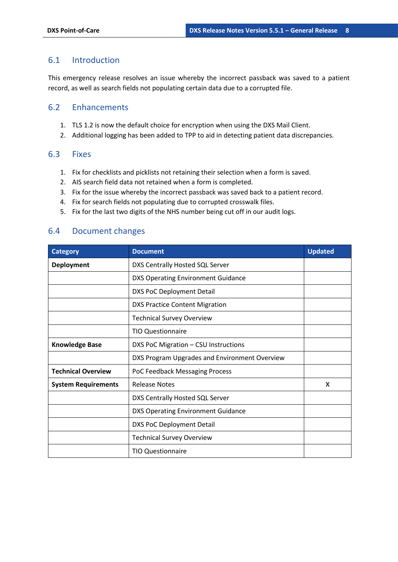#### <span id="page-8-0"></span>6.1 Introduction

This emergency release resolves an issue whereby the incorrect passback was saved to a patient record, as well as search fields not populating certain data due to a corrupted file.

### <span id="page-8-1"></span>6.2 Enhancements

- 1. TLS 1.2 is now the default choice for encryption when using the DXS Mail Client.
- 2. Additional logging has been added to TPP to aid in detecting patient data discrepancies.

#### <span id="page-8-2"></span>6.3 Fixes

- 1. Fix for checklists and picklists not retaining their selection when a form is saved.
- 2. AIS search field data not retained when a form is completed.
- 3. Fix for the issue whereby the incorrect passback was saved back to a patient record.
- 4. Fix for search fields not populating due to corrupted crosswalk files.
- 5. Fix for the last two digits of the NHS number being cut off in our audit logs.

### <span id="page-8-3"></span>6.4 Document changes

| <b>Category</b>            | <b>Document</b>                               | <b>Updated</b> |
|----------------------------|-----------------------------------------------|----------------|
| <b>Deployment</b>          | DXS Centrally Hosted SQL Server               |                |
|                            | DXS Operating Environment Guidance            |                |
|                            | DXS PoC Deployment Detail                     |                |
|                            | <b>DXS Practice Content Migration</b>         |                |
|                            | <b>Technical Survey Overview</b>              |                |
|                            | <b>TIO Questionnaire</b>                      |                |
| <b>Knowledge Base</b>      | DXS PoC Migration - CSU Instructions          |                |
|                            | DXS Program Upgrades and Environment Overview |                |
| <b>Technical Overview</b>  | PoC Feedback Messaging Process                |                |
| <b>System Requirements</b> | <b>Release Notes</b>                          | X              |
|                            | DXS Centrally Hosted SQL Server               |                |
|                            | <b>DXS Operating Environment Guidance</b>     |                |
|                            | <b>DXS PoC Deployment Detail</b>              |                |
|                            | <b>Technical Survey Overview</b>              |                |
|                            | <b>TIO Questionnaire</b>                      |                |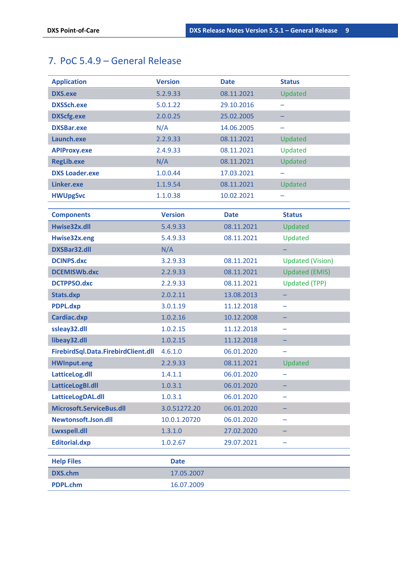# <span id="page-9-0"></span>7. PoC 5.4.9 – General Release

| <b>Application</b>                  | <b>Version</b> | <b>Date</b> | <b>Status</b>           |
|-------------------------------------|----------------|-------------|-------------------------|
| <b>DXS.exe</b>                      | 5.2.9.33       | 08.11.2021  | Updated                 |
| <b>DXSSch.exe</b>                   | 5.0.1.22       | 29.10.2016  |                         |
| <b>DXScfg.exe</b>                   | 2.0.0.25       | 25.02.2005  |                         |
| <b>DXSBar.exe</b>                   | N/A            | 14.06.2005  |                         |
| Launch.exe                          | 2.2.9.33       | 08.11.2021  | Updated                 |
| <b>APIProxy.exe</b>                 | 2.4.9.33       | 08.11.2021  | Updated                 |
| <b>RegLib.exe</b>                   | N/A            | 08.11.2021  | Updated                 |
| <b>DXS Loader.exe</b>               | 1.0.0.44       | 17.03.2021  |                         |
| Linker.exe                          | 1.1.9.54       | 08.11.2021  | Updated                 |
| <b>HWUpgSvc</b>                     | 1.1.0.38       | 10.02.2021  |                         |
| <b>Components</b>                   | <b>Version</b> | <b>Date</b> | <b>Status</b>           |
| Hwise32x.dll                        | 5.4.9.33       | 08.11.2021  | Updated                 |
| Hwise32x.eng                        | 5.4.9.33       | 08.11.2021  | Updated                 |
| <b>DXSBar32.dll</b>                 | N/A            |             |                         |
| <b>DCINPS.dxc</b>                   | 3.2.9.33       | 08.11.2021  | <b>Updated (Vision)</b> |
| <b>DCEMISWb.dxc</b>                 | 2.2.9.33       | 08.11.2021  | <b>Updated (EMIS)</b>   |
| <b>DCTPPSO.dxc</b>                  | 2.2.9.33       | 08.11.2021  | <b>Updated (TPP)</b>    |
| Stats.dxp                           | 2.0.2.11       | 13.08.2013  |                         |
| <b>PDPL.dxp</b>                     | 3.0.1.19       | 11.12.2018  |                         |
| Cardiac.dxp                         | 1.0.2.16       | 10.12.2008  |                         |
| ssleay32.dll                        | 1.0.2.15       | 11.12.2018  | -                       |
| libeay32.dll                        | 1.0.2.15       | 11.12.2018  |                         |
| FirebirdSql.Data.FirebirdClient.dll | 4.6.1.0        | 06.01.2020  |                         |
| <b>HWInput.eng</b>                  | 2.2.9.33       | 08.11.2021  | Updated                 |
| LatticeLog.dll                      | 1.4.1.1        | 06.01.2020  |                         |
| LatticeLogBI.dll                    | 1.0.3.1        | 06.01.2020  |                         |
| LatticeLogDAL.dll                   | 1.0.3.1        | 06.01.2020  |                         |
| Microsoft.ServiceBus.dll            | 3.0.51272.20   | 06.01.2020  |                         |
| Newtonsoft.Json.dll                 | 10.0.1.20720   | 06.01.2020  |                         |
| Lwxspell.dll                        | 1.3.1.0        | 27.02.2020  |                         |
| <b>Editorial.dxp</b>                | 1.0.2.67       | 29.07.2021  |                         |
| <b>Help Files</b>                   | <b>Date</b>    |             |                         |
| <b>DXS.chm</b>                      | 17.05.2007     |             |                         |
|                                     |                |             |                         |
| <b>PDPL.chm</b>                     | 16.07.2009     |             |                         |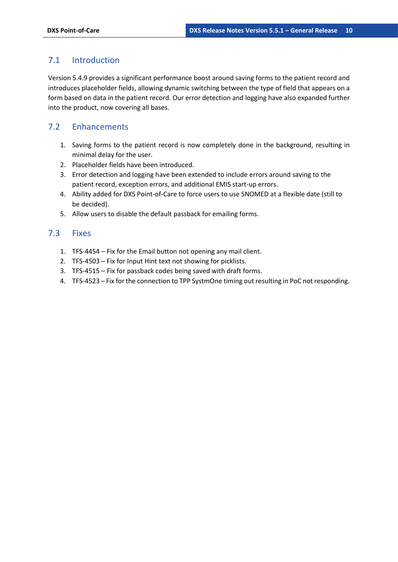### <span id="page-10-0"></span>7.1 Introduction

Version 5.4.9 provides a significant performance boost around saving forms to the patient record and introduces placeholder fields, allowing dynamic switching between the type of field that appears on a form based on data in the patient record. Our error detection and logging have also expanded further into the product, now covering all bases.

### <span id="page-10-1"></span>7.2 Enhancements

- 1. Saving forms to the patient record is now completely done in the background, resulting in minimal delay for the user.
- 2. Placeholder fields have been introduced.
- 3. Error detection and logging have been extended to include errors around saving to the patient record, exception errors, and additional EMIS start-up errors.
- 4. Ability added for DXS Point-of-Care to force users to use SNOMED at a flexible date (still to be decided).
- 5. Allow users to disable the default passback for emailing forms.

#### <span id="page-10-2"></span>7.3 Fixes

- 1. TFS-4454 Fix for the Email button not opening any mail client.
- 2. TFS-4503 Fix for Input Hint text not showing for picklists.
- 3. TFS-4515 Fix for passback codes being saved with draft forms.
- 4. TFS-4523 Fix for the connection to TPP SystmOne timing out resulting in PoC not responding.